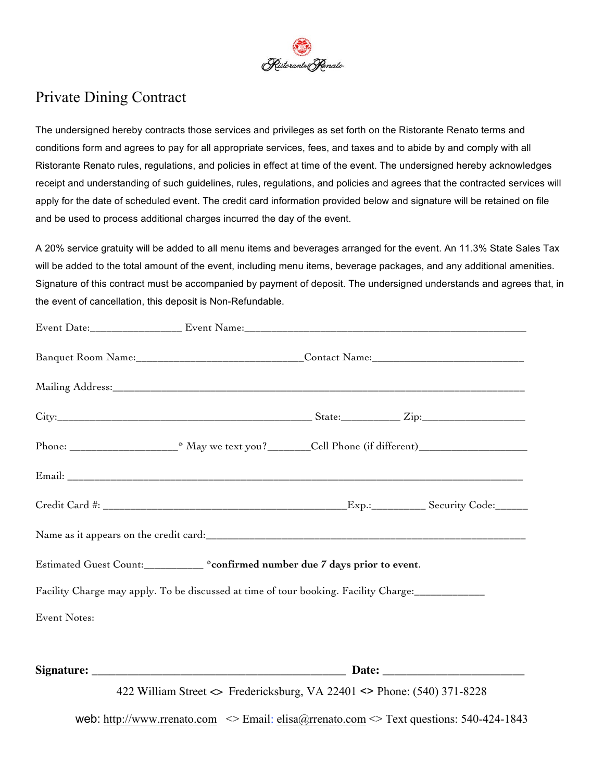

# Private Dining Contract

The undersigned hereby contracts those services and privileges as set forth on the Ristorante Renato terms and conditions form and agrees to pay for all appropriate services, fees, and taxes and to abide by and comply with all Ristorante Renato rules, regulations, and policies in effect at time of the event. The undersigned hereby acknowledges receipt and understanding of such guidelines, rules, regulations, and policies and agrees that the contracted services will apply for the date of scheduled event. The credit card information provided below and signature will be retained on file and be used to process additional charges incurred the day of the event.

A 20% service gratuity will be added to all menu items and beverages arranged for the event. An 11.3% State Sales Tax will be added to the total amount of the event, including menu items, beverage packages, and any additional amenities. Signature of this contract must be accompanied by payment of deposit. The undersigned understands and agrees that, in the event of cancellation, this deposit is Non-Refundable.

|                     | Banquet Room Name:__________________________________Contact Name:___________________________________ |                                                                                                 |
|---------------------|------------------------------------------------------------------------------------------------------|-------------------------------------------------------------------------------------------------|
|                     |                                                                                                      |                                                                                                 |
|                     |                                                                                                      |                                                                                                 |
|                     |                                                                                                      |                                                                                                 |
|                     |                                                                                                      |                                                                                                 |
|                     |                                                                                                      |                                                                                                 |
|                     |                                                                                                      |                                                                                                 |
|                     | Estimated Guest Count:___________ *confirmed number due 7 days prior to event.                       |                                                                                                 |
|                     | Facility Charge may apply. To be discussed at time of tour booking. Facility Charge:                 |                                                                                                 |
| <b>Event Notes:</b> |                                                                                                      |                                                                                                 |
|                     |                                                                                                      |                                                                                                 |
|                     | 422 William Street <> Fredericksburg, VA 22401 <> Phone: (540) 371-8228                              |                                                                                                 |
|                     |                                                                                                      | web: http://www.rrenato.com $\leq$ Email: elisa@rrenato.com $\leq$ Text questions: 540-424-1843 |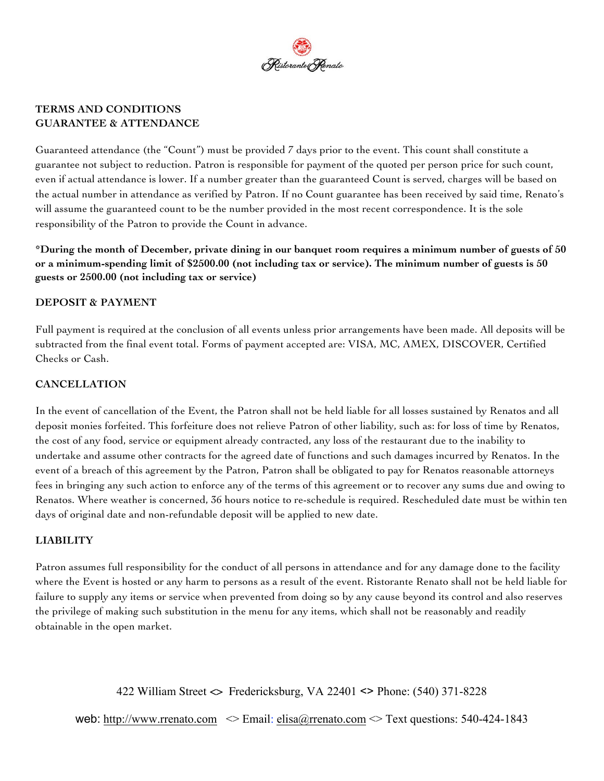

## **TERMS AND CONDITIONS GUARANTEE & ATTENDANCE**

Guaranteed attendance (the "Count") must be provided 7 days prior to the event. This count shall constitute a guarantee not subject to reduction. Patron is responsible for payment of the quoted per person price for such count, even if actual attendance is lower. If a number greater than the guaranteed Count is served, charges will be based on the actual number in attendance as verified by Patron. If no Count guarantee has been received by said time, Renato's will assume the guaranteed count to be the number provided in the most recent correspondence. It is the sole responsibility of the Patron to provide the Count in advance.

\*During the month of December, private dining in our banquet room requires a minimum number of guests of 50 or a minimum-spending limit of \$2500.00 (not including tax or service). The minimum number of guests is 50 **guests or 2500.00 (not including tax or service)**

## **DEPOSIT & PAYMENT**

Full payment is required at the conclusion of all events unless prior arrangements have been made. All deposits will be subtracted from the final event total. Forms of payment accepted are: VISA, MC, AMEX, DISCOVER, Certified Checks or Cash.

# **CANCELLATION**

In the event of cancellation of the Event, the Patron shall not be held liable for all losses sustained by Renatos and all deposit monies forfeited. This forfeiture does not relieve Patron of other liability, such as: for loss of time by Renatos, the cost of any food, service or equipment already contracted, any loss of the restaurant due to the inability to undertake and assume other contracts for the agreed date of functions and such damages incurred by Renatos. In the event of a breach of this agreement by the Patron, Patron shall be obligated to pay for Renatos reasonable attorneys fees in bringing any such action to enforce any of the terms of this agreement or to recover any sums due and owing to Renatos. Where weather is concerned, 36 hours notice to re-schedule is required. Rescheduled date must be within ten days of original date and non-refundable deposit will be applied to new date.

# **LIABILITY**

Patron assumes full responsibility for the conduct of all persons in attendance and for any damage done to the facility where the Event is hosted or any harm to persons as a result of the event. Ristorante Renato shall not be held liable for failure to supply any items or service when prevented from doing so by any cause beyond its control and also reserves the privilege of making such substitution in the menu for any items, which shall not be reasonably and readily obtainable in the open market.

422 William Street <> Fredericksburg, VA 22401 <> Phone: (540) 371-8228

web: http://www.rrenato.com  $\leq$  Email: elisa@rrenato.com  $\leq$  Text questions: 540-424-1843